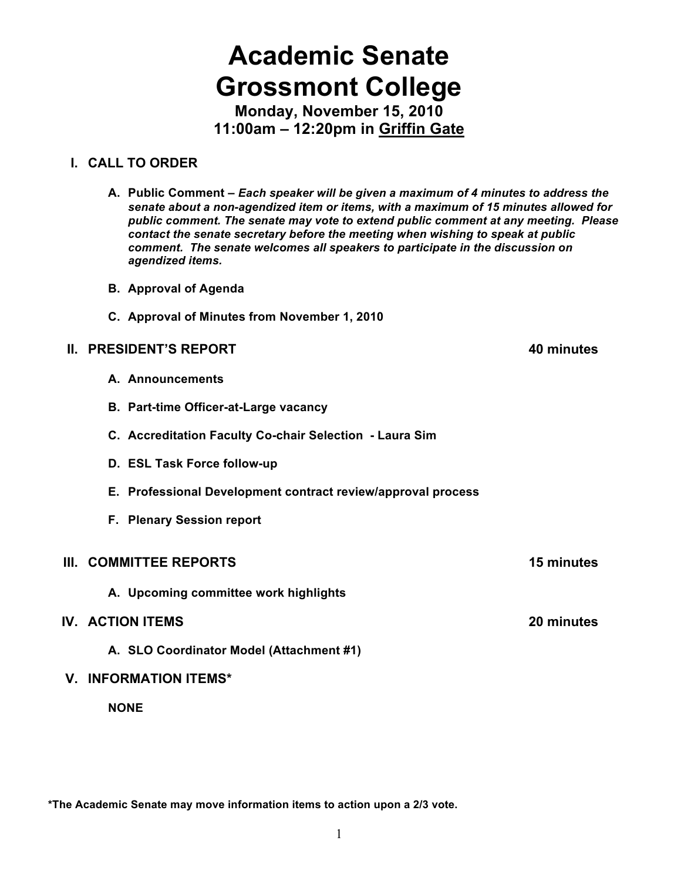# **Academic Senate Grossmont College**

**Monday, November 15, 2010 11:00am – 12:20pm in Griffin Gate**

# **I. CALL TO ORDER**

**A. Public Comment –** *Each speaker will be given a maximum of 4 minutes to address the senate about a non-agendized item or items, with a maximum of 15 minutes allowed for public comment. The senate may vote to extend public comment at any meeting. Please contact the senate secretary before the meeting when wishing to speak at public comment. The senate welcomes all speakers to participate in the discussion on agendized items.*

- **B. Approval of Agenda**
- **C. Approval of Minutes from November 1, 2010**

# **II. PRESIDENT'S REPORT 40 minutes**

- **A. Announcements**
- **B. Part-time Officer-at-Large vacancy**
- **C. Accreditation Faculty Co-chair Selection Laura Sim**
- **D. ESL Task Force follow-up**
- **E. Professional Development contract review/approval process**
- **F. Plenary Session report**

# **III. COMMITTEE REPORTS 15 minutes**

**A. Upcoming committee work highlights**

# **IV. ACTION ITEMS 20 minutes**

**A. SLO Coordinator Model (Attachment #1)**

# **V. INFORMATION ITEMS\***

**NONE**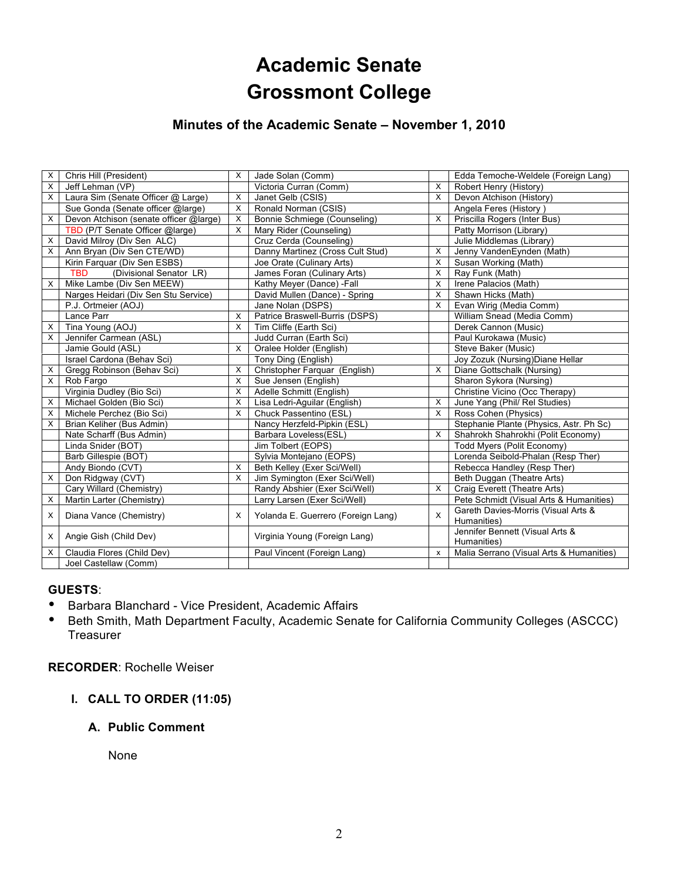# **Academic Senate Grossmont College**

# **Minutes of the Academic Senate – November 1, 2010**

| X | Chris Hill (President)                 | $\times$ | Jade Solan (Comm)                  |                           | Edda Temoche-Weldele (Foreign Lang)                     |
|---|----------------------------------------|----------|------------------------------------|---------------------------|---------------------------------------------------------|
| X | Jeff Lehman (VP)                       |          | Victoria Curran (Comm)             | X                         | Robert Henry (History)                                  |
| X | Laura Sim (Senate Officer @ Large)     | $\times$ | Janet Gelb (CSIS)                  | X                         | Devon Atchison (History)                                |
|   | Sue Gonda (Senate officer @large)      | $\times$ | Ronald Norman (CSIS)               |                           | Angela Feres (History)                                  |
| X | Devon Atchison (senate officer @large) | $\times$ | Bonnie Schmiege (Counseling)       | $\times$                  | Priscilla Rogers (Inter Bus)                            |
|   | TBD (P/T Senate Officer @large)        | $\times$ | Mary Rider (Counseling)            |                           | Patty Morrison (Library)                                |
| X | David Milroy (Div Sen ALC)             |          | Cruz Cerda (Counseling)            |                           | Julie Middlemas (Library)                               |
| X | Ann Bryan (Div Sen CTE/WD)             |          | Danny Martinez (Cross Cult Stud)   | X                         | Jenny VandenEynden (Math)                               |
|   | Kirin Farquar (Div Sen ESBS)           |          | Joe Orate (Culinary Arts)          | X                         | Susan Working (Math)                                    |
|   | (Divisional Senator LR)<br><b>TBD</b>  |          | James Foran (Culinary Arts)        | $\times$                  | Ray Funk (Math)                                         |
| X | Mike Lambe (Div Sen MEEW)              |          | Kathy Meyer (Dance) -Fall          | X                         | Irene Palacios (Math)                                   |
|   | Narges Heidari (Div Sen Stu Service)   |          | David Mullen (Dance) - Spring      | X                         | Shawn Hicks (Math)                                      |
|   | P.J. Ortmeier (AOJ)                    |          | Jane Nolan (DSPS)                  | X                         | Evan Wirig (Media Comm)                                 |
|   | Lance Parr                             | X        | Patrice Braswell-Burris (DSPS)     |                           | William Snead (Media Comm)                              |
| X | Tina Young (AOJ)                       | $\times$ | Tim Cliffe (Earth Sci)             |                           | Derek Cannon (Music)                                    |
| X | Jennifer Carmean (ASL)                 |          | Judd Curran (Earth Sci)            |                           | Paul Kurokawa (Music)                                   |
|   | Jamie Gould (ASL)                      | $\times$ | Oralee Holder (English)            |                           | Steve Baker (Music)                                     |
|   | Israel Cardona (Behav Sci)             |          | Tony Ding (English)                |                           | Joy Zozuk (Nursing) Diane Hellar                        |
| X | Gregg Robinson (Behav Sci)             | X        | Christopher Farquar (English)      | X                         | Diane Gottschalk (Nursing)                              |
| X | Rob Fargo                              | $\times$ | Sue Jensen (English)               |                           | Sharon Sykora (Nursing)                                 |
|   | Virginia Dudley (Bio Sci)              | X        | Adelle Schmitt (English)           |                           | Christine Vicino (Occ Therapy)                          |
| X | Michael Golden (Bio Sci)               | X        | Lisa Ledri-Aguilar (English)       | X                         | June Yang (Phil/ Rel Studies)                           |
| X | Michele Perchez (Bio Sci)              | X        | Chuck Passentino (ESL)             | X                         | Ross Cohen (Physics)                                    |
| X | Brian Keliher (Bus Admin)              |          | Nancy Herzfeld-Pipkin (ESL)        |                           | Stephanie Plante (Physics, Astr. Ph Sc)                 |
|   | Nate Scharff (Bus Admin)               |          | Barbara Loveless(ESL)              | X                         | Shahrokh Shahrokhi (Polit Economy)                      |
|   | Linda Snider (BOT)                     |          | Jim Tolbert (EOPS)                 |                           | Todd Myers (Polit Economy)                              |
|   | Barb Gillespie (BOT)                   |          | Sylvia Montejano (EOPS)            |                           | Lorenda Seibold-Phalan (Resp Ther)                      |
|   | Andy Biondo (CVT)                      | $\times$ | Beth Kelley (Exer Sci/Well)        |                           | Rebecca Handley (Resp Ther)                             |
| X | Don Ridgway (CVT)                      | $\times$ | Jim Symington (Exer Sci/Well)      |                           | Beth Duggan (Theatre Arts)                              |
|   | Cary Willard (Chemistry)               |          | Randy Abshier (Exer Sci/Well)      | $\times$                  | Craig Everett (Theatre Arts)                            |
| X | Martin Larter (Chemistry)              |          | Larry Larsen (Exer Sci/Well)       |                           | Pete Schmidt (Visual Arts & Humanities)                 |
| X | Diana Vance (Chemistry)                | x        | Yolanda E. Guerrero (Foreign Lang) | $\times$                  | Gareth Davies-Morris (Visual Arts &                     |
|   |                                        |          |                                    |                           | Humanities)                                             |
| X | Angie Gish (Child Dev)                 |          | Virginia Young (Foreign Lang)      |                           | Jennifer Bennett (Visual Arts &                         |
|   |                                        |          |                                    |                           | Humanities)<br>Malia Serrano (Visual Arts & Humanities) |
| Х | Claudia Flores (Child Dev)             |          | Paul Vincent (Foreign Lang)        | $\boldsymbol{\mathsf{x}}$ |                                                         |
|   | Joel Castellaw (Comm)                  |          |                                    |                           |                                                         |

#### **GUESTS**:

- Barbara Blanchard Vice President, Academic Affairs
- Beth Smith, Math Department Faculty, Academic Senate for California Community Colleges (ASCCC) **Treasurer**

#### **RECORDER**: Rochelle Weiser

**I. CALL TO ORDER (11:05)**

# **A. Public Comment**

None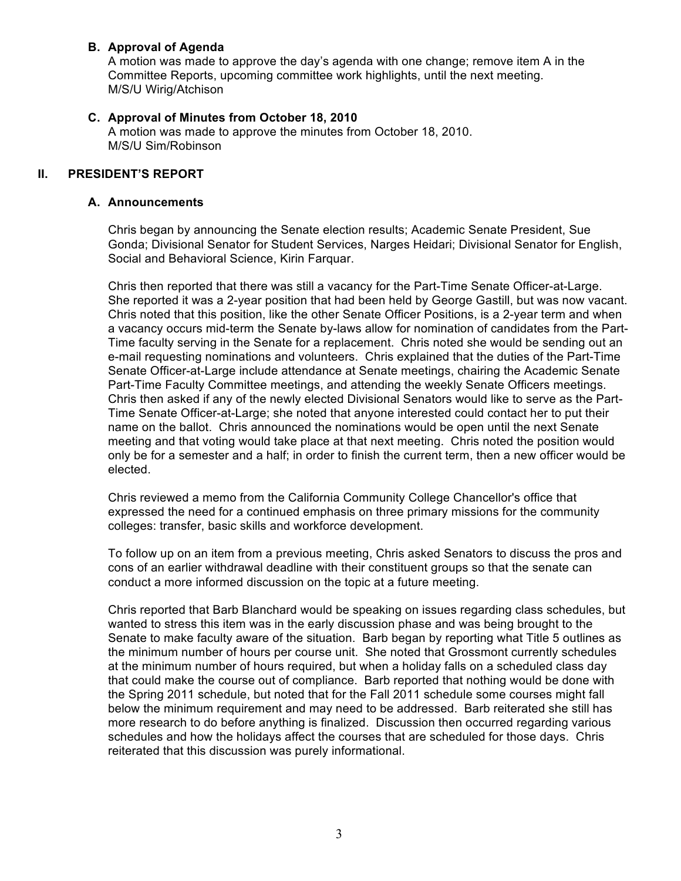#### **B. Approval of Agenda**

A motion was made to approve the day's agenda with one change; remove item A in the Committee Reports, upcoming committee work highlights, until the next meeting. M/S/U Wirig/Atchison

#### **C. Approval of Minutes from October 18, 2010**

A motion was made to approve the minutes from October 18, 2010. M/S/U Sim/Robinson

#### **II. PRESIDENT'S REPORT**

#### **A. Announcements**

Chris began by announcing the Senate election results; Academic Senate President, Sue Gonda; Divisional Senator for Student Services, Narges Heidari; Divisional Senator for English, Social and Behavioral Science, Kirin Farquar.

Chris then reported that there was still a vacancy for the Part-Time Senate Officer-at-Large. She reported it was a 2-year position that had been held by George Gastill, but was now vacant. Chris noted that this position, like the other Senate Officer Positions, is a 2-year term and when a vacancy occurs mid-term the Senate by-laws allow for nomination of candidates from the Part-Time faculty serving in the Senate for a replacement. Chris noted she would be sending out an e-mail requesting nominations and volunteers. Chris explained that the duties of the Part-Time Senate Officer-at-Large include attendance at Senate meetings, chairing the Academic Senate Part-Time Faculty Committee meetings, and attending the weekly Senate Officers meetings. Chris then asked if any of the newly elected Divisional Senators would like to serve as the Part-Time Senate Officer-at-Large; she noted that anyone interested could contact her to put their name on the ballot. Chris announced the nominations would be open until the next Senate meeting and that voting would take place at that next meeting. Chris noted the position would only be for a semester and a half; in order to finish the current term, then a new officer would be elected.

Chris reviewed a memo from the California Community College Chancellor's office that expressed the need for a continued emphasis on three primary missions for the community colleges: transfer, basic skills and workforce development.

To follow up on an item from a previous meeting, Chris asked Senators to discuss the pros and cons of an earlier withdrawal deadline with their constituent groups so that the senate can conduct a more informed discussion on the topic at a future meeting.

Chris reported that Barb Blanchard would be speaking on issues regarding class schedules, but wanted to stress this item was in the early discussion phase and was being brought to the Senate to make faculty aware of the situation. Barb began by reporting what Title 5 outlines as the minimum number of hours per course unit. She noted that Grossmont currently schedules at the minimum number of hours required, but when a holiday falls on a scheduled class day that could make the course out of compliance. Barb reported that nothing would be done with the Spring 2011 schedule, but noted that for the Fall 2011 schedule some courses might fall below the minimum requirement and may need to be addressed. Barb reiterated she still has more research to do before anything is finalized. Discussion then occurred regarding various schedules and how the holidays affect the courses that are scheduled for those days. Chris reiterated that this discussion was purely informational.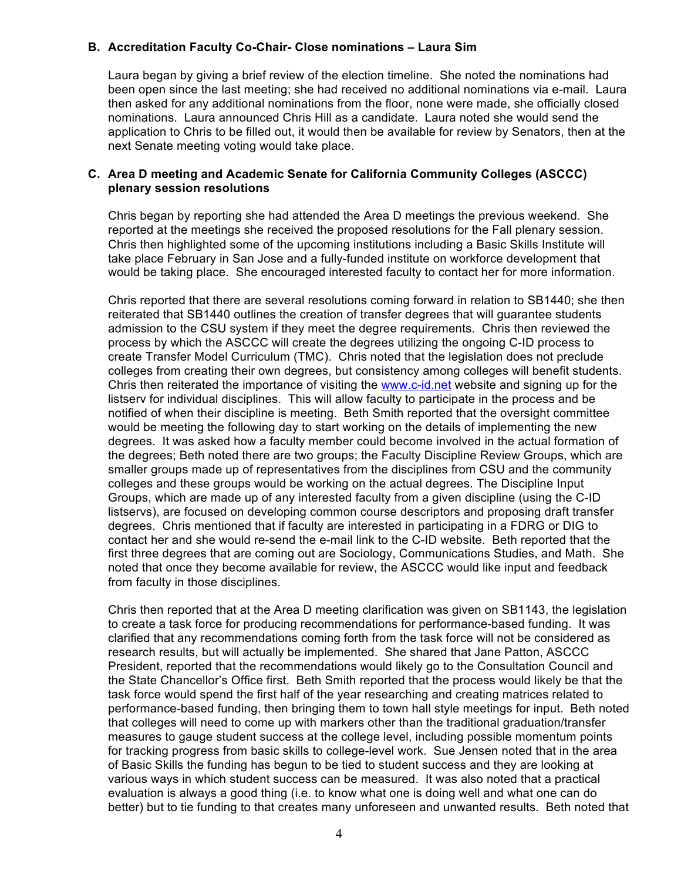#### **B. Accreditation Faculty Co-Chair- Close nominations – Laura Sim**

Laura began by giving a brief review of the election timeline. She noted the nominations had been open since the last meeting; she had received no additional nominations via e-mail. Laura then asked for any additional nominations from the floor, none were made, she officially closed nominations. Laura announced Chris Hill as a candidate. Laura noted she would send the application to Chris to be filled out, it would then be available for review by Senators, then at the next Senate meeting voting would take place.

#### **C. Area D meeting and Academic Senate for California Community Colleges (ASCCC) plenary session resolutions**

Chris began by reporting she had attended the Area D meetings the previous weekend. She reported at the meetings she received the proposed resolutions for the Fall plenary session. Chris then highlighted some of the upcoming institutions including a Basic Skills Institute will take place February in San Jose and a fully-funded institute on workforce development that would be taking place. She encouraged interested faculty to contact her for more information.

Chris reported that there are several resolutions coming forward in relation to SB1440; she then reiterated that SB1440 outlines the creation of transfer degrees that will guarantee students admission to the CSU system if they meet the degree requirements. Chris then reviewed the process by which the ASCCC will create the degrees utilizing the ongoing C-ID process to create Transfer Model Curriculum (TMC). Chris noted that the legislation does not preclude colleges from creating their own degrees, but consistency among colleges will benefit students. Chris then reiterated the importance of visiting the www.c-id.net website and signing up for the listserv for individual disciplines. This will allow faculty to participate in the process and be notified of when their discipline is meeting. Beth Smith reported that the oversight committee would be meeting the following day to start working on the details of implementing the new degrees. It was asked how a faculty member could become involved in the actual formation of the degrees; Beth noted there are two groups; the Faculty Discipline Review Groups, which are smaller groups made up of representatives from the disciplines from CSU and the community colleges and these groups would be working on the actual degrees. The Discipline Input Groups, which are made up of any interested faculty from a given discipline (using the C-ID listservs), are focused on developing common course descriptors and proposing draft transfer degrees. Chris mentioned that if faculty are interested in participating in a FDRG or DIG to contact her and she would re-send the e-mail link to the C-ID website. Beth reported that the first three degrees that are coming out are Sociology, Communications Studies, and Math. She noted that once they become available for review, the ASCCC would like input and feedback from faculty in those disciplines.

Chris then reported that at the Area D meeting clarification was given on SB1143, the legislation to create a task force for producing recommendations for performance-based funding. It was clarified that any recommendations coming forth from the task force will not be considered as research results, but will actually be implemented. She shared that Jane Patton, ASCCC President, reported that the recommendations would likely go to the Consultation Council and the State Chancellor's Office first. Beth Smith reported that the process would likely be that the task force would spend the first half of the year researching and creating matrices related to performance-based funding, then bringing them to town hall style meetings for input. Beth noted that colleges will need to come up with markers other than the traditional graduation/transfer measures to gauge student success at the college level, including possible momentum points for tracking progress from basic skills to college-level work. Sue Jensen noted that in the area of Basic Skills the funding has begun to be tied to student success and they are looking at various ways in which student success can be measured. It was also noted that a practical evaluation is always a good thing (i.e. to know what one is doing well and what one can do better) but to tie funding to that creates many unforeseen and unwanted results. Beth noted that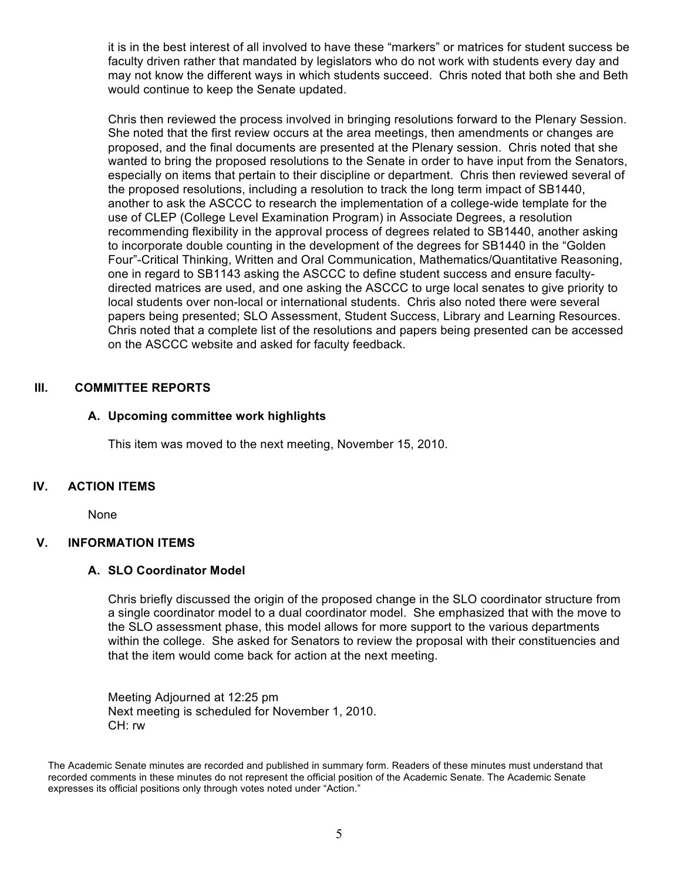it is in the best interest of all involved to have these "markers" or matrices for student success be faculty driven rather that mandated by legislators who do not work with students every day and may not know the different ways in which students succeed. Chris noted that both she and Beth would continue to keep the Senate updated.

Chris then reviewed the process involved in bringing resolutions forward to the Plenary Session. She noted that the first review occurs at the area meetings, then amendments or changes are proposed, and the final documents are presented at the Plenary session. Chris noted that she wanted to bring the proposed resolutions to the Senate in order to have input from the Senators, especially on items that pertain to their discipline or department. Chris then reviewed several of the proposed resolutions, including a resolution to track the long term impact of SB1440, another to ask the ASCCC to research the implementation of a college-wide template for the use of CLEP (College Level Examination Program) in Associate Degrees, a resolution recommending flexibility in the approval process of degrees related to SB1440, another asking to incorporate double counting in the development of the degrees for SB1440 in the "Golden Four"-Critical Thinking, Written and Oral Communication, Mathematics/Quantitative Reasoning, one in regard to SB1143 asking the ASCCC to define student success and ensure facultydirected matrices are used, and one asking the ASCCC to urge local senates to give priority to local students over non-local or international students. Chris also noted there were several papers being presented; SLO Assessment, Student Success, Library and Learning Resources. Chris noted that a complete list of the resolutions and papers being presented can be accessed on the ASCCC website and asked for faculty feedback.

#### **III. COMMITTEE REPORTS**

#### **A. Upcoming committee work highlights**

This item was moved to the next meeting, November 15, 2010.

#### **IV. ACTION ITEMS**

None

#### **V. INFORMATION ITEMS**

#### **A. SLO Coordinator Model**

Chris briefly discussed the origin of the proposed change in the SLO coordinator structure from a single coordinator model to a dual coordinator model. She emphasized that with the move to the SLO assessment phase, this model allows for more support to the various departments within the college. She asked for Senators to review the proposal with their constituencies and that the item would come back for action at the next meeting.

Meeting Adjourned at 12:25 pm Next meeting is scheduled for November 1, 2010. CH: rw

The Academic Senate minutes are recorded and published in summary form. Readers of these minutes must understand that recorded comments in these minutes do not represent the official position of the Academic Senate. The Academic Senate expresses its official positions only through votes noted under "Action."